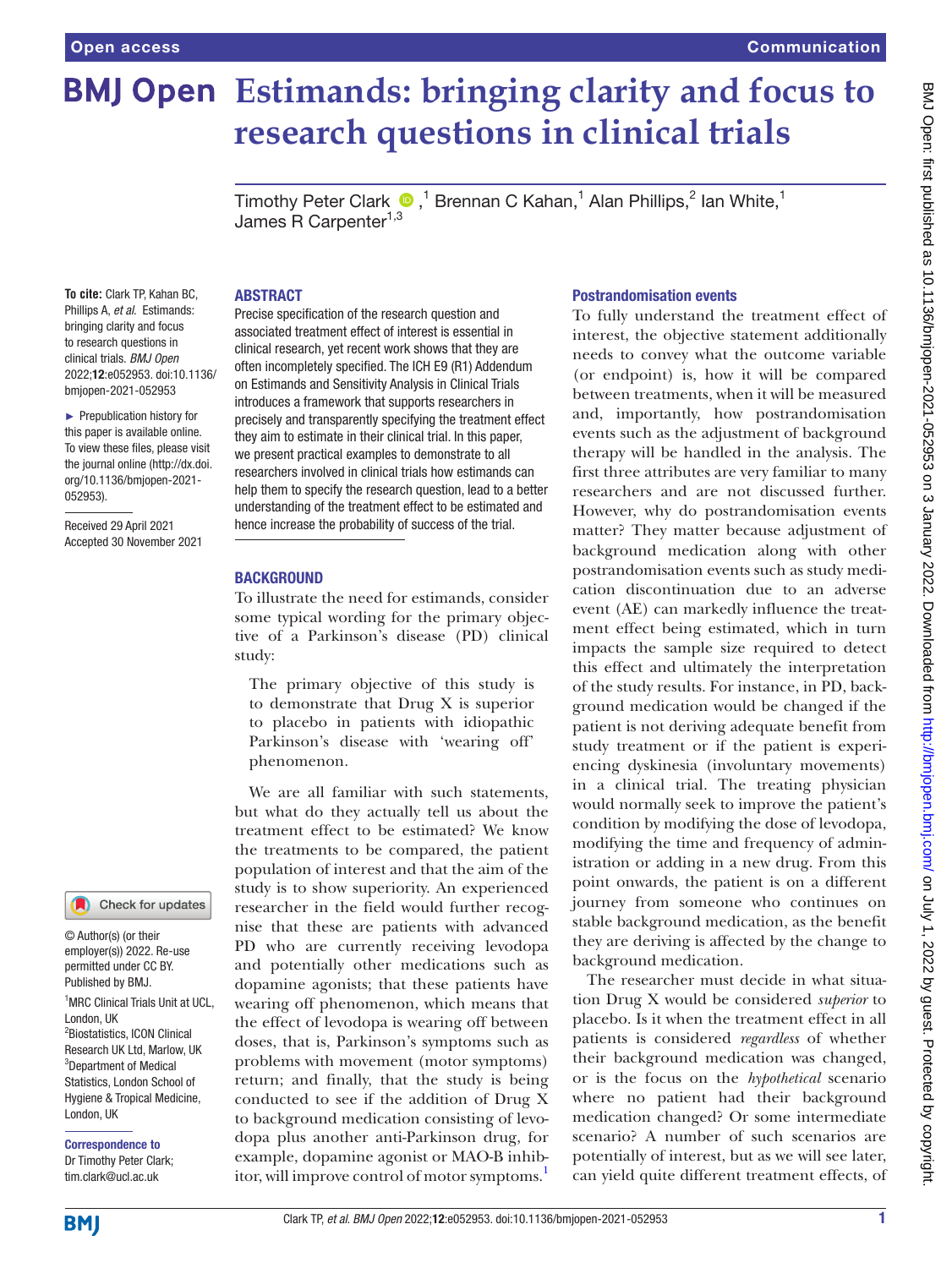# **BMJ Open Estimands: bringing clarity and focus to research questions in clinical trials**

TimothyPeter Clark  $\bullet$  ,<sup>1</sup> Brennan C Kahan,<sup>1</sup> Alan Phillips,<sup>2</sup> Ian White,<sup>1</sup> James R Carpenter<sup>1,3</sup>

#### **To cite:** Clark TP, Kahan BC, Phillips A, *et al*. Estimands: bringing clarity and focus to research questions in clinical trials. *BMJ Open* 2022;12:e052953. doi:10.1136/ bmjopen-2021-052953

► Prepublication history for this paper is available online. To view these files, please visit the journal online [\(http://dx.doi.](http://dx.doi.org/10.1136/bmjopen-2021-052953) [org/10.1136/bmjopen-2021-](http://dx.doi.org/10.1136/bmjopen-2021-052953) [052953\)](http://dx.doi.org/10.1136/bmjopen-2021-052953).

Received 29 April 2021 Accepted 30 November 2021



<sup>1</sup>MRC Clinical Trials Unit at UCL, London, UK 2 Biostatistics, ICON Clinical Research UK Ltd, Marlow, UK <sup>3</sup>Department of Medical Statistics, London School of Hygiene & Tropical Medicine, London, UK © Author(s) (or their employer(s)) 2022. Re-use permitted under CC BY. Published by BMJ.

Correspondence to Dr Timothy Peter Clark; tim.clark@ucl.ac.uk

#### ABSTRACT

Precise specification of the research question and associated treatment effect of interest is essential in clinical research, yet recent work shows that they are often incompletely specified. The ICH E9 (R1) Addendum on Estimands and Sensitivity Analysis in Clinical Trials introduces a framework that supports researchers in precisely and transparently specifying the treatment effect they aim to estimate in their clinical trial. In this paper, we present practical examples to demonstrate to all researchers involved in clinical trials how estimands can help them to specify the research question, lead to a better understanding of the treatment effect to be estimated and hence increase the probability of success of the trial.

### **BACKGROUND**

To illustrate the need for estimands, consider some typical wording for the primary objective of a Parkinson's disease (PD) clinical study:

The primary objective of this study is to demonstrate that Drug X is superior to placebo in patients with idiopathic Parkinson's disease with 'wearing off' phenomenon.

We are all familiar with such statements, but what do they actually tell us about the treatment effect to be estimated? We know the treatments to be compared, the patient population of interest and that the aim of the study is to show superiority. An experienced researcher in the field would further recognise that these are patients with advanced PD who are currently receiving levodopa and potentially other medications such as dopamine agonists; that these patients have wearing off phenomenon, which means that the effect of levodopa is wearing off between doses, that is, Parkinson's symptoms such as problems with movement (motor symptoms) return; and finally, that the study is being conducted to see if the addition of Drug X to background medication consisting of levodopa plus another anti-Parkinson drug, for example, dopamine agonist or MAO-B inhib-itor, will improve control of motor symptoms.<sup>[1](#page-6-0)</sup>

### Postrandomisation events

To fully understand the treatment effect of interest, the objective statement additionally needs to convey what the outcome variable (or endpoint) is, how it will be compared between treatments, when it will be measured and, importantly, how postrandomisation events such as the adjustment of background therapy will be handled in the analysis. The first three attributes are very familiar to many researchers and are not discussed further. However, why do postrandomisation events matter? They matter because adjustment of background medication along with other postrandomisation events such as study medication discontinuation due to an adverse event (AE) can markedly influence the treatment effect being estimated, which in turn impacts the sample size required to detect this effect and ultimately the interpretation of the study results. For instance, in PD, background medication would be changed if the patient is not deriving adequate benefit from study treatment or if the patient is experiencing dyskinesia (involuntary movements) in a clinical trial. The treating physician would normally seek to improve the patient's condition by modifying the dose of levodopa, modifying the time and frequency of administration or adding in a new drug. From this point onwards, the patient is on a different journey from someone who continues on stable background medication, as the benefit they are deriving is affected by the change to background medication.

The researcher must decide in what situation Drug X would be considered *superior* to placebo. Is it when the treatment effect in all patients is considered *regardless* of whether their background medication was changed, or is the focus on the *hypothetical* scenario where no patient had their background medication changed? Or some intermediate scenario? A number of such scenarios are potentially of interest, but as we will see later, can yield quite different treatment effects, of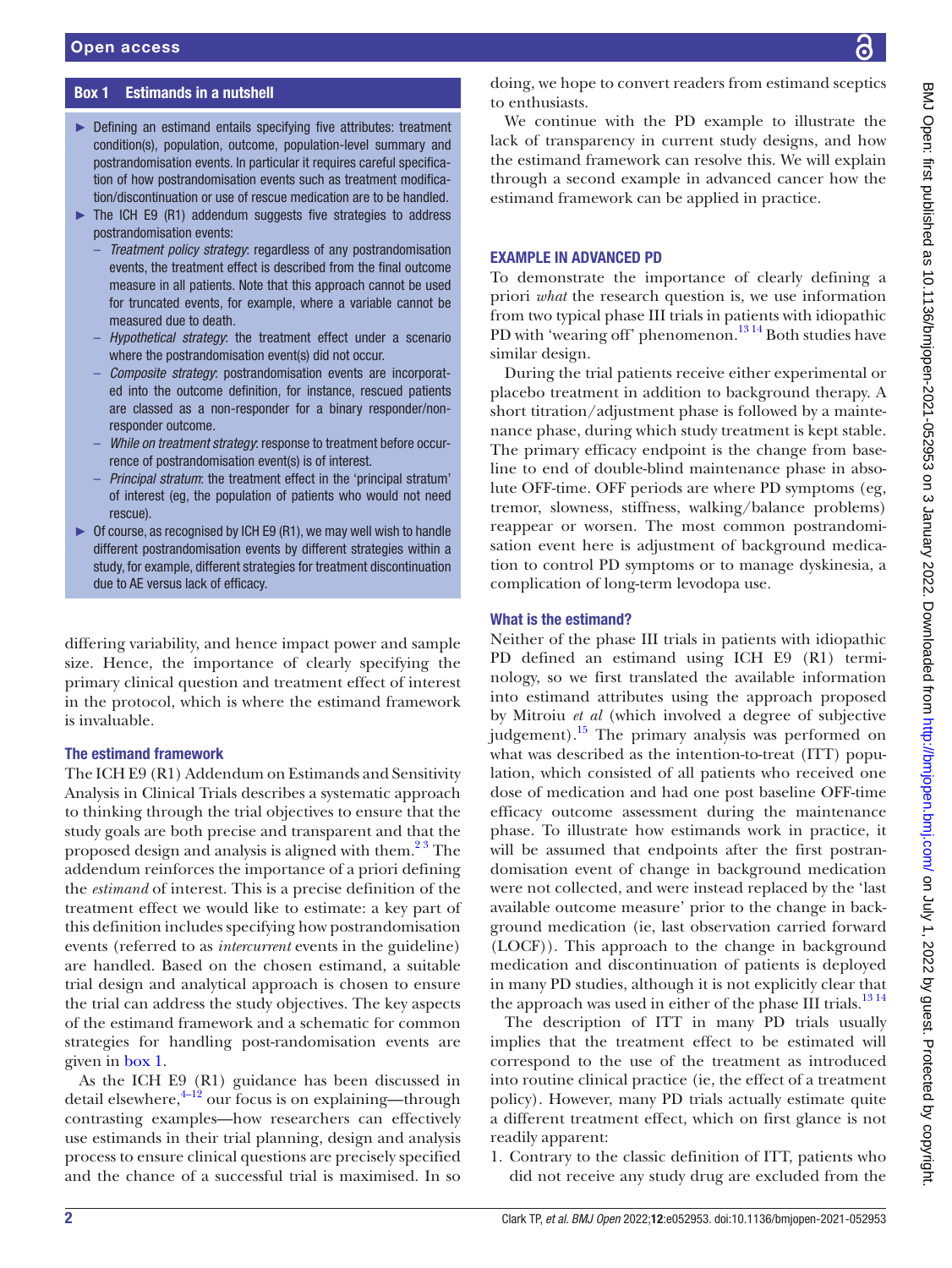### Box 1 Estimands in a nutshell

- <span id="page-1-0"></span>► Defining an estimand entails specifying five attributes: treatment condition(s), population, outcome, population-level summary and postrandomisation events. In particular it requires careful specification of how postrandomisation events such as treatment modification/discontinuation or use of rescue medication are to be handled.
- The ICH E9 (R1) addendum suggests five strategies to address postrandomisation events:
	- *Treatment policy strategy*: regardless of any postrandomisation events, the treatment effect is described from the final outcome measure in all patients. Note that this approach cannot be used for truncated events, for example, where a variable cannot be measured due to death.
	- *Hypothetical strategy*: the treatment effect under a scenario where the postrandomisation event(s) did not occur.
	- *Composite strategy*: postrandomisation events are incorporated into the outcome definition, for instance, rescued patients are classed as a non-responder for a binary responder/nonresponder outcome.
	- *While on treatment strategy*: response to treatment before occurrence of postrandomisation event(s) is of interest.
	- *Principal stratum*: the treatment effect in the 'principal stratum' of interest (eg, the population of patients who would not need rescue).
- ► Of course, as recognised by ICH E9 (R1), we may well wish to handle different postrandomisation events by different strategies within a study, for example, different strategies for treatment discontinuation due to AE versus lack of efficacy.

differing variability, and hence impact power and sample size. Hence, the importance of clearly specifying the primary clinical question and treatment effect of interest in the protocol, which is where the estimand framework is invaluable.

### The estimand framework

The ICH E9 (R1) Addendum on Estimands and Sensitivity Analysis in Clinical Trials describes a systematic approach to thinking through the trial objectives to ensure that the study goals are both precise and transparent and that the proposed design and analysis is aligned with them.<sup>23</sup> The addendum reinforces the importance of a priori defining the *estimand* of interest. This is a precise definition of the treatment effect we would like to estimate: a key part of this definition includes specifying how postrandomisation events (referred to as *intercurrent* events in the guideline) are handled. Based on the chosen estimand, a suitable trial design and analytical approach is chosen to ensure the trial can address the study objectives. The key aspects of the estimand framework and a schematic for common strategies for handling post-randomisation events are given in [box](#page-1-0) 1.

As the ICH E9 (R1) guidance has been discussed in detail elsewhere, $4\frac{4-12}{2}$  our focus is on explaining—through contrasting examples—how researchers can effectively use estimands in their trial planning, design and analysis process to ensure clinical questions are precisely specified and the chance of a successful trial is maximised. In so

doing, we hope to convert readers from estimand sceptics to enthusiasts.

We continue with the PD example to illustrate the lack of transparency in current study designs, and how the estimand framework can resolve this. We will explain through a second example in advanced cancer how the estimand framework can be applied in practice.

#### EXAMPLE IN ADVANCED PD

To demonstrate the importance of clearly defining a priori *what* the research question is, we use information from two typical phase III trials in patients with idiopathic PD with 'wearing off' phenomenon.<sup>1314</sup> Both studies have similar design.

During the trial patients receive either experimental or placebo treatment in addition to background therapy. A short titration/adjustment phase is followed by a maintenance phase, during which study treatment is kept stable. The primary efficacy endpoint is the change from baseline to end of double-blind maintenance phase in absolute OFF-time. OFF periods are where PD symptoms (eg, tremor, slowness, stiffness, walking/balance problems) reappear or worsen. The most common postrandomisation event here is adjustment of background medication to control PD symptoms or to manage dyskinesia, a complication of long-term levodopa use.

### What is the estimand?

Neither of the phase III trials in patients with idiopathic PD defined an estimand using ICH E9 (R1) terminology, so we first translated the available information into estimand attributes using the approach proposed by Mitroiu *et al* (which involved a degree of subjective judgement)[.15](#page-6-4) The primary analysis was performed on what was described as the intention-to-treat (ITT) population, which consisted of all patients who received one dose of medication and had one post baseline OFF-time efficacy outcome assessment during the maintenance phase. To illustrate how estimands work in practice, it will be assumed that endpoints after the first postrandomisation event of change in background medication were not collected, and were instead replaced by the 'last available outcome measure' prior to the change in background medication (ie, last observation carried forward (LOCF)). This approach to the change in background medication and discontinuation of patients is deployed in many PD studies, although it is not explicitly clear that the approach was used in either of the phase III trials.<sup>1314</sup>

The description of ITT in many PD trials usually implies that the treatment effect to be estimated will correspond to the use of the treatment as introduced into routine clinical practice (ie, the effect of a treatment policy). However, many PD trials actually estimate quite a different treatment effect, which on first glance is not readily apparent:

1. Contrary to the classic definition of ITT, patients who did not receive any study drug are excluded from the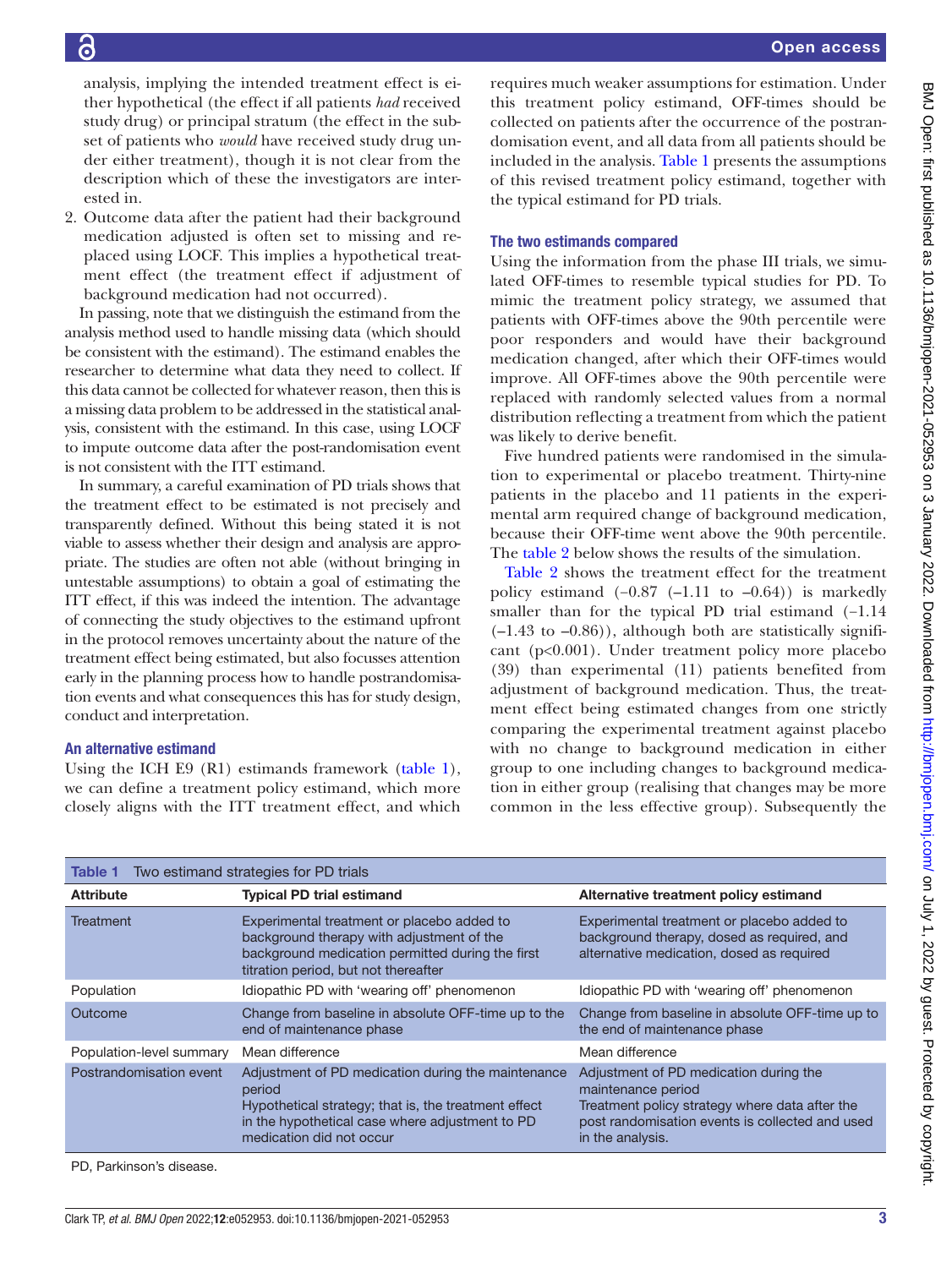analysis, implying the intended treatment effect is either hypothetical (the effect if all patients *had* received study drug) or principal stratum (the effect in the subset of patients who *would* have received study drug under either treatment), though it is not clear from the description which of these the investigators are interested in.

2. Outcome data after the patient had their background medication adjusted is often set to missing and replaced using LOCF. This implies a hypothetical treatment effect (the treatment effect if adjustment of background medication had not occurred).

In passing, note that we distinguish the estimand from the analysis method used to handle missing data (which should be consistent with the estimand). The estimand enables the researcher to determine what data they need to collect. If this data cannot be collected for whatever reason, then this is a missing data problem to be addressed in the statistical analysis, consistent with the estimand. In this case, using LOCF to impute outcome data after the post-randomisation event is not consistent with the ITT estimand.

In summary, a careful examination of PD trials shows that the treatment effect to be estimated is not precisely and transparently defined. Without this being stated it is not viable to assess whether their design and analysis are appropriate. The studies are often not able (without bringing in untestable assumptions) to obtain a goal of estimating the ITT effect, if this was indeed the intention. The advantage of connecting the study objectives to the estimand upfront in the protocol removes uncertainty about the nature of the treatment effect being estimated, but also focusses attention early in the planning process how to handle postrandomisation events and what consequences this has for study design, conduct and interpretation.

### An alternative estimand

Using the ICH E9 (R1) estimands framework [\(table](#page-2-0) 1), we can define a treatment policy estimand, which more closely aligns with the ITT treatment effect, and which

requires much weaker assumptions for estimation. Under this treatment policy estimand, OFF-times should be collected on patients after the occurrence of the postrandomisation event, and all data from all patients should be included in the analysis. [Table](#page-2-0) 1 presents the assumptions of this revised treatment policy estimand, together with the typical estimand for PD trials.

### The two estimands compared

Using the information from the phase III trials, we simulated OFF-times to resemble typical studies for PD. To mimic the treatment policy strategy, we assumed that patients with OFF-times above the 90th percentile were poor responders and would have their background medication changed, after which their OFF-times would improve. All OFF-times above the 90th percentile were replaced with randomly selected values from a normal distribution reflecting a treatment from which the patient was likely to derive benefit.

Five hundred patients were randomised in the simulation to experimental or placebo treatment. Thirty-nine patients in the placebo and 11 patients in the experimental arm required change of background medication, because their OFF-time went above the 90th percentile. The [table](#page-3-0) 2 below shows the results of the simulation.

[Table](#page-3-0) 2 shows the treatment effect for the treatment policy estimand  $(-0.87$   $(-1.11$  to  $-0.64)$ ) is markedly smaller than for the typical PD trial estimand (-1.14  $(-1.43 \text{ to } -0.86)$ , although both are statistically significant (p<0.001). Under treatment policy more placebo (39) than experimental (11) patients benefited from adjustment of background medication. Thus, the treatment effect being estimated changes from one strictly comparing the experimental treatment against placebo with no change to background medication in either group to one including changes to background medication in either group (realising that changes may be more common in the less effective group). Subsequently the

<span id="page-2-0"></span>

| Two estimand strategies for PD trials<br>Table 1 |                                                                                                                                                                                                     |                                                                                                                                                                                       |  |  |  |  |
|--------------------------------------------------|-----------------------------------------------------------------------------------------------------------------------------------------------------------------------------------------------------|---------------------------------------------------------------------------------------------------------------------------------------------------------------------------------------|--|--|--|--|
| <b>Attribute</b>                                 | <b>Typical PD trial estimand</b>                                                                                                                                                                    | Alternative treatment policy estimand                                                                                                                                                 |  |  |  |  |
| <b>Treatment</b>                                 | Experimental treatment or placebo added to<br>background therapy with adjustment of the<br>background medication permitted during the first<br>titration period, but not thereafter                 | Experimental treatment or placebo added to<br>background therapy, dosed as required, and<br>alternative medication, dosed as required                                                 |  |  |  |  |
| Population                                       | Idiopathic PD with 'wearing off' phenomenon                                                                                                                                                         | Idiopathic PD with 'wearing off' phenomenon                                                                                                                                           |  |  |  |  |
| Outcome                                          | Change from baseline in absolute OFF-time up to the<br>end of maintenance phase                                                                                                                     | Change from baseline in absolute OFF-time up to<br>the end of maintenance phase                                                                                                       |  |  |  |  |
| Population-level summary                         | Mean difference                                                                                                                                                                                     | Mean difference                                                                                                                                                                       |  |  |  |  |
| Postrandomisation event                          | Adjustment of PD medication during the maintenance<br>period<br>Hypothetical strategy; that is, the treatment effect<br>in the hypothetical case where adjustment to PD<br>medication did not occur | Adjustment of PD medication during the<br>maintenance period<br>Treatment policy strategy where data after the<br>post randomisation events is collected and used<br>in the analysis. |  |  |  |  |
| PD. Parkinson's disease.                         |                                                                                                                                                                                                     |                                                                                                                                                                                       |  |  |  |  |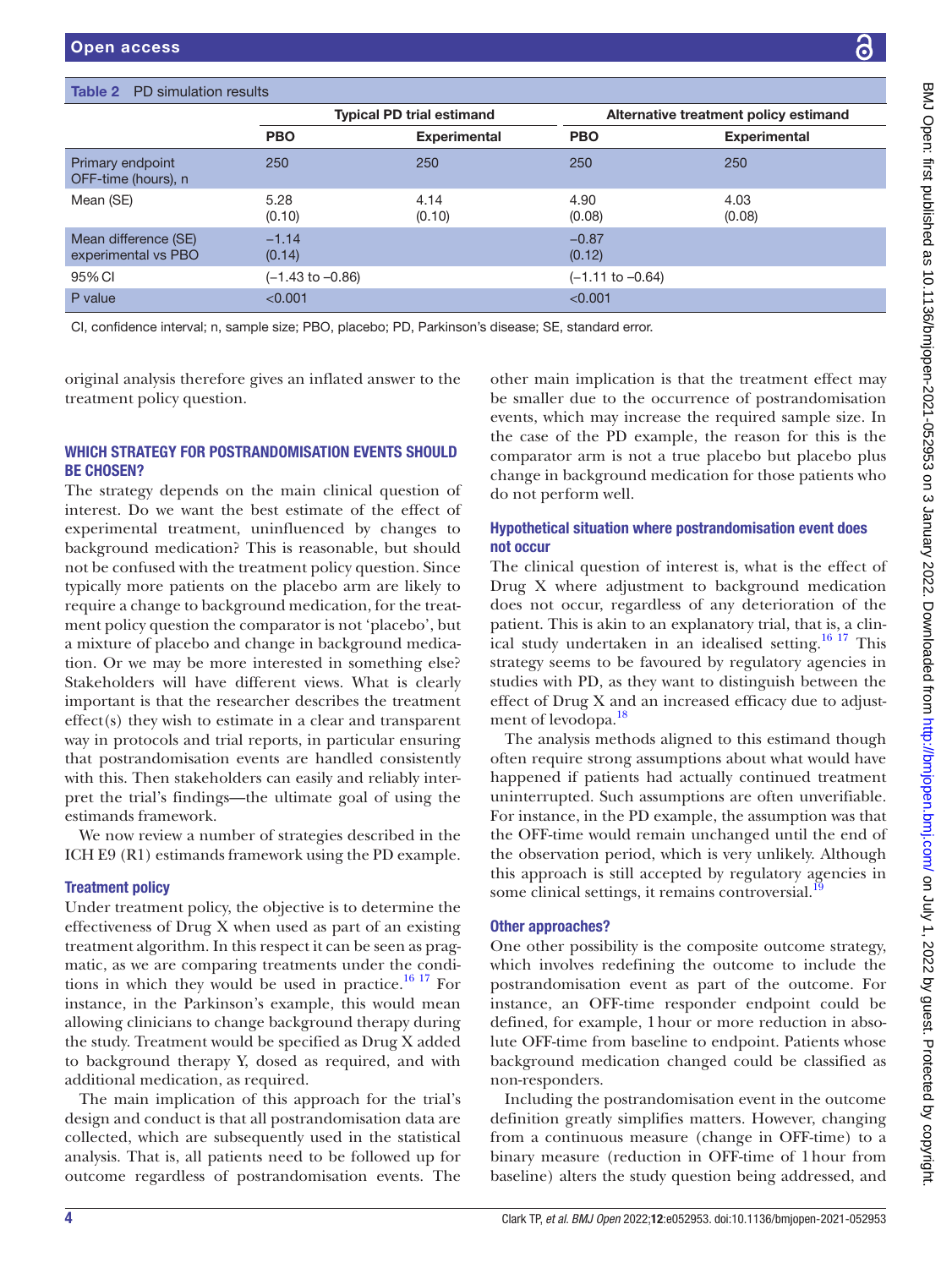<span id="page-3-0"></span>

|                                             | <b>Typical PD trial estimand</b> |                     | Alternative treatment policy estimand |                     |
|---------------------------------------------|----------------------------------|---------------------|---------------------------------------|---------------------|
|                                             | <b>PBO</b>                       | <b>Experimental</b> | <b>PBO</b>                            | <b>Experimental</b> |
| Primary endpoint<br>OFF-time (hours), n     | 250                              | 250                 | 250                                   | 250                 |
| Mean (SE)                                   | 5.28<br>(0.10)                   | 4.14<br>(0.10)      | 4.90<br>(0.08)                        | 4.03<br>(0.08)      |
| Mean difference (SE)<br>experimental vs PBO | $-1.14$<br>(0.14)                |                     | $-0.87$<br>(0.12)                     |                     |
| 95% CI                                      | $(-1.43 \text{ to } -0.86)$      |                     | $(-1.11$ to $-0.64)$                  |                     |
| P value                                     | < 0.001                          |                     | < 0.001                               |                     |

original analysis therefore gives an inflated answer to the treatment policy question.

## WHICH STRATEGY FOR POSTRANDOMISATION EVENTS SHOULD BE CHOSEN?

The strategy depends on the main clinical question of interest. Do we want the best estimate of the effect of experimental treatment, uninfluenced by changes to background medication? This is reasonable, but should not be confused with the treatment policy question. Since typically more patients on the placebo arm are likely to require a change to background medication, for the treatment policy question the comparator is not 'placebo', but a mixture of placebo and change in background medication. Or we may be more interested in something else? Stakeholders will have different views. What is clearly important is that the researcher describes the treatment effect(s) they wish to estimate in a clear and transparent way in protocols and trial reports, in particular ensuring that postrandomisation events are handled consistently with this. Then stakeholders can easily and reliably interpret the trial's findings—the ultimate goal of using the estimands framework.

We now review a number of strategies described in the ICH E9 (R1) estimands framework using the PD example.

# Treatment policy

Under treatment policy, the objective is to determine the effectiveness of Drug X when used as part of an existing treatment algorithm. In this respect it can be seen as pragmatic, as we are comparing treatments under the conditions in which they would be used in practice. $16 \frac{16}{7}$  For instance, in the Parkinson's example, this would mean allowing clinicians to change background therapy during the study. Treatment would be specified as Drug X added to background therapy Y, dosed as required, and with additional medication, as required.

The main implication of this approach for the trial's design and conduct is that all postrandomisation data are collected, which are subsequently used in the statistical analysis. That is, all patients need to be followed up for outcome regardless of postrandomisation events. The

other main implication is that the treatment effect may be smaller due to the occurrence of postrandomisation events, which may increase the required sample size. In the case of the PD example, the reason for this is the comparator arm is not a true placebo but placebo plus change in background medication for those patients who do not perform well.

## Hypothetical situation where postrandomisation event does not occur

The clinical question of interest is, what is the effect of Drug X where adjustment to background medication does not occur, regardless of any deterioration of the patient. This is akin to an explanatory trial, that is, a clinical study undertaken in an idealised setting.<sup>16 17</sup> This strategy seems to be favoured by regulatory agencies in studies with PD, as they want to distinguish between the effect of Drug X and an increased efficacy due to adjust-ment of levodopa.<sup>[18](#page-6-6)</sup>

The analysis methods aligned to this estimand though often require strong assumptions about what would have happened if patients had actually continued treatment uninterrupted. Such assumptions are often unverifiable. For instance, in the PD example, the assumption was that the OFF-time would remain unchanged until the end of the observation period, which is very unlikely. Although this approach is still accepted by regulatory agencies in some clinical settings, it remains controversial.<sup>1</sup>

# Other approaches?

One other possibility is the composite outcome strategy, which involves redefining the outcome to include the postrandomisation event as part of the outcome. For instance, an OFF-time responder endpoint could be defined, for example, 1hour or more reduction in absolute OFF-time from baseline to endpoint. Patients whose background medication changed could be classified as non-responders.

Including the postrandomisation event in the outcome definition greatly simplifies matters. However, changing from a continuous measure (change in OFF-time) to a binary measure (reduction in OFF-time of 1hour from baseline) alters the study question being addressed, and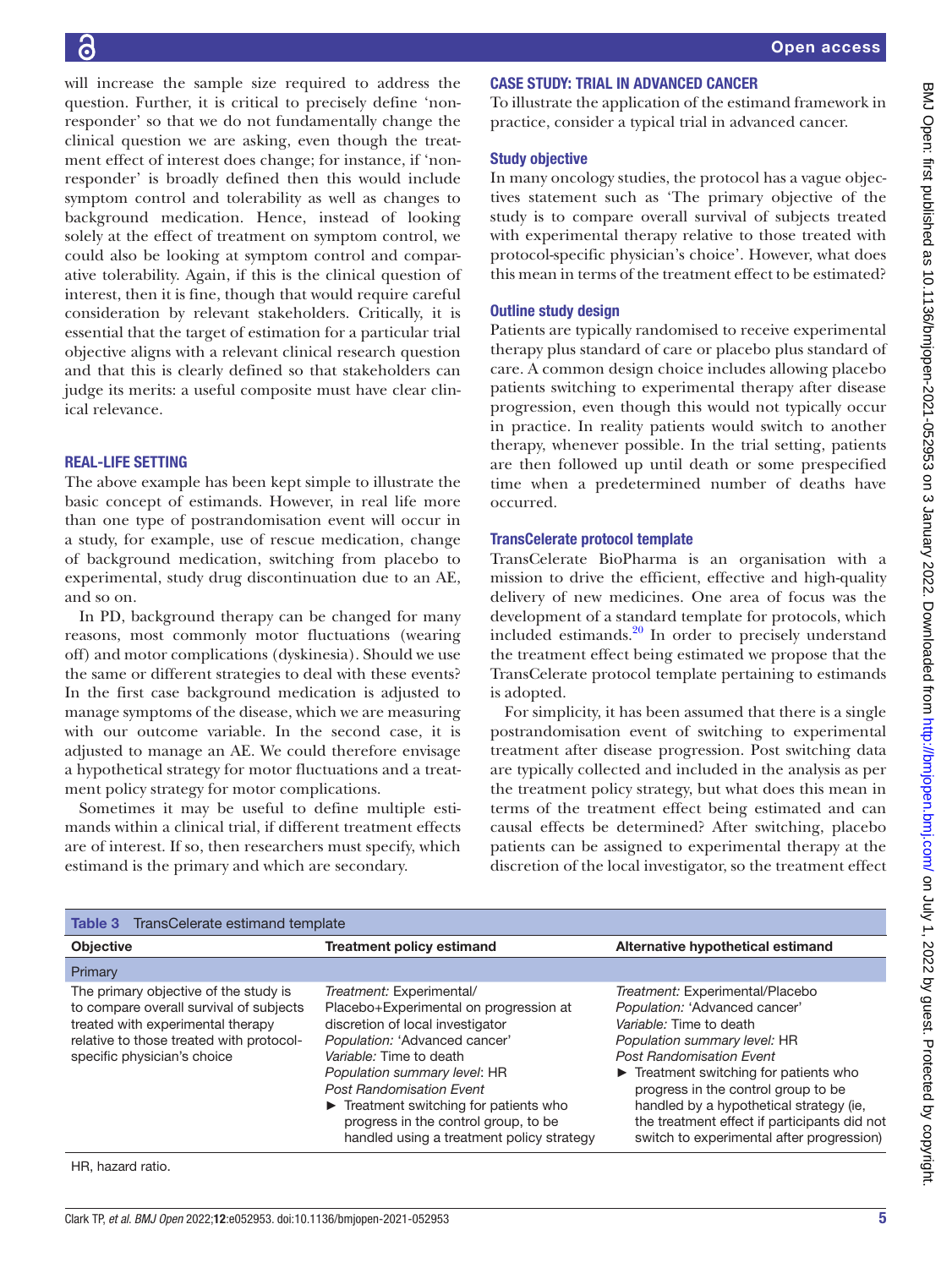will increase the sample size required to address the question. Further, it is critical to precisely define 'nonresponder' so that we do not fundamentally change the clinical question we are asking, even though the treatment effect of interest does change; for instance, if 'nonresponder' is broadly defined then this would include symptom control and tolerability as well as changes to background medication. Hence, instead of looking solely at the effect of treatment on symptom control, we could also be looking at symptom control and comparative tolerability. Again, if this is the clinical question of interest, then it is fine, though that would require careful consideration by relevant stakeholders. Critically, it is essential that the target of estimation for a particular trial objective aligns with a relevant clinical research question and that this is clearly defined so that stakeholders can judge its merits: a useful composite must have clear clinical relevance.

### REAL-LIFE SETTING

The above example has been kept simple to illustrate the basic concept of estimands. However, in real life more than one type of postrandomisation event will occur in a study, for example, use of rescue medication, change of background medication, switching from placebo to experimental, study drug discontinuation due to an AE, and so on.

In PD, background therapy can be changed for many reasons, most commonly motor fluctuations (wearing off) and motor complications (dyskinesia). Should we use the same or different strategies to deal with these events? In the first case background medication is adjusted to manage symptoms of the disease, which we are measuring with our outcome variable. In the second case, it is adjusted to manage an AE. We could therefore envisage a hypothetical strategy for motor fluctuations and a treatment policy strategy for motor complications.

Sometimes it may be useful to define multiple estimands within a clinical trial, if different treatment effects are of interest. If so, then researchers must specify, which estimand is the primary and which are secondary.

### CASE STUDY: TRIAL IN ADVANCED CANCER

To illustrate the application of the estimand framework in practice, consider a typical trial in advanced cancer.

### Study objective

In many oncology studies, the protocol has a vague objectives statement such as 'The primary objective of the study is to compare overall survival of subjects treated with experimental therapy relative to those treated with protocol-specific physician's choice'. However, what does this mean in terms of the treatment effect to be estimated?

### Outline study design

Patients are typically randomised to receive experimental therapy plus standard of care or placebo plus standard of care. A common design choice includes allowing placebo patients switching to experimental therapy after disease progression, even though this would not typically occur in practice. In reality patients would switch to another therapy, whenever possible. In the trial setting, patients are then followed up until death or some prespecified time when a predetermined number of deaths have occurred.

### TransCelerate protocol template

TransCelerate BioPharma is an organisation with a mission to drive the efficient, effective and high-quality delivery of new medicines. One area of focus was the development of a standard template for protocols, which included estimands. $^{20}$  In order to precisely understand the treatment effect being estimated we propose that the TransCelerate protocol template pertaining to estimands is adopted.

For simplicity, it has been assumed that there is a single postrandomisation event of switching to experimental treatment after disease progression. Post switching data are typically collected and included in the analysis as per the treatment policy strategy, but what does this mean in terms of the treatment effect being estimated and can causal effects be determined? After switching, placebo patients can be assigned to experimental therapy at the discretion of the local investigator, so the treatment effect

<span id="page-4-0"></span>

| TransCelerate estimand template<br>Table 3                                                                                                                                                       |                                                                                                                                                                                                                                                                                                                                                                                          |                                                                                                                                                                                                                                                                                                                                                                                                             |  |  |  |  |
|--------------------------------------------------------------------------------------------------------------------------------------------------------------------------------------------------|------------------------------------------------------------------------------------------------------------------------------------------------------------------------------------------------------------------------------------------------------------------------------------------------------------------------------------------------------------------------------------------|-------------------------------------------------------------------------------------------------------------------------------------------------------------------------------------------------------------------------------------------------------------------------------------------------------------------------------------------------------------------------------------------------------------|--|--|--|--|
| <b>Objective</b>                                                                                                                                                                                 | <b>Treatment policy estimand</b>                                                                                                                                                                                                                                                                                                                                                         | Alternative hypothetical estimand                                                                                                                                                                                                                                                                                                                                                                           |  |  |  |  |
| Primary                                                                                                                                                                                          |                                                                                                                                                                                                                                                                                                                                                                                          |                                                                                                                                                                                                                                                                                                                                                                                                             |  |  |  |  |
| The primary objective of the study is<br>to compare overall survival of subjects<br>treated with experimental therapy<br>relative to those treated with protocol-<br>specific physician's choice | Treatment: Experimental/<br>Placebo+Experimental on progression at<br>discretion of local investigator<br>Population: 'Advanced cancer'<br>Variable: Time to death<br>Population summary level: HR<br><b>Post Randomisation Event</b><br>$\blacktriangleright$ Treatment switching for patients who<br>progress in the control group, to be<br>handled using a treatment policy strategy | Treatment: Experimental/Placebo<br>Population: 'Advanced cancer'<br>Variable: Time to death<br>Population summary level: HR<br><b>Post Randomisation Fvent</b><br>$\blacktriangleright$ Treatment switching for patients who<br>progress in the control group to be<br>handled by a hypothetical strategy (ie,<br>the treatment effect if participants did not<br>switch to experimental after progression) |  |  |  |  |
| HR, hazard ratio.                                                                                                                                                                                |                                                                                                                                                                                                                                                                                                                                                                                          |                                                                                                                                                                                                                                                                                                                                                                                                             |  |  |  |  |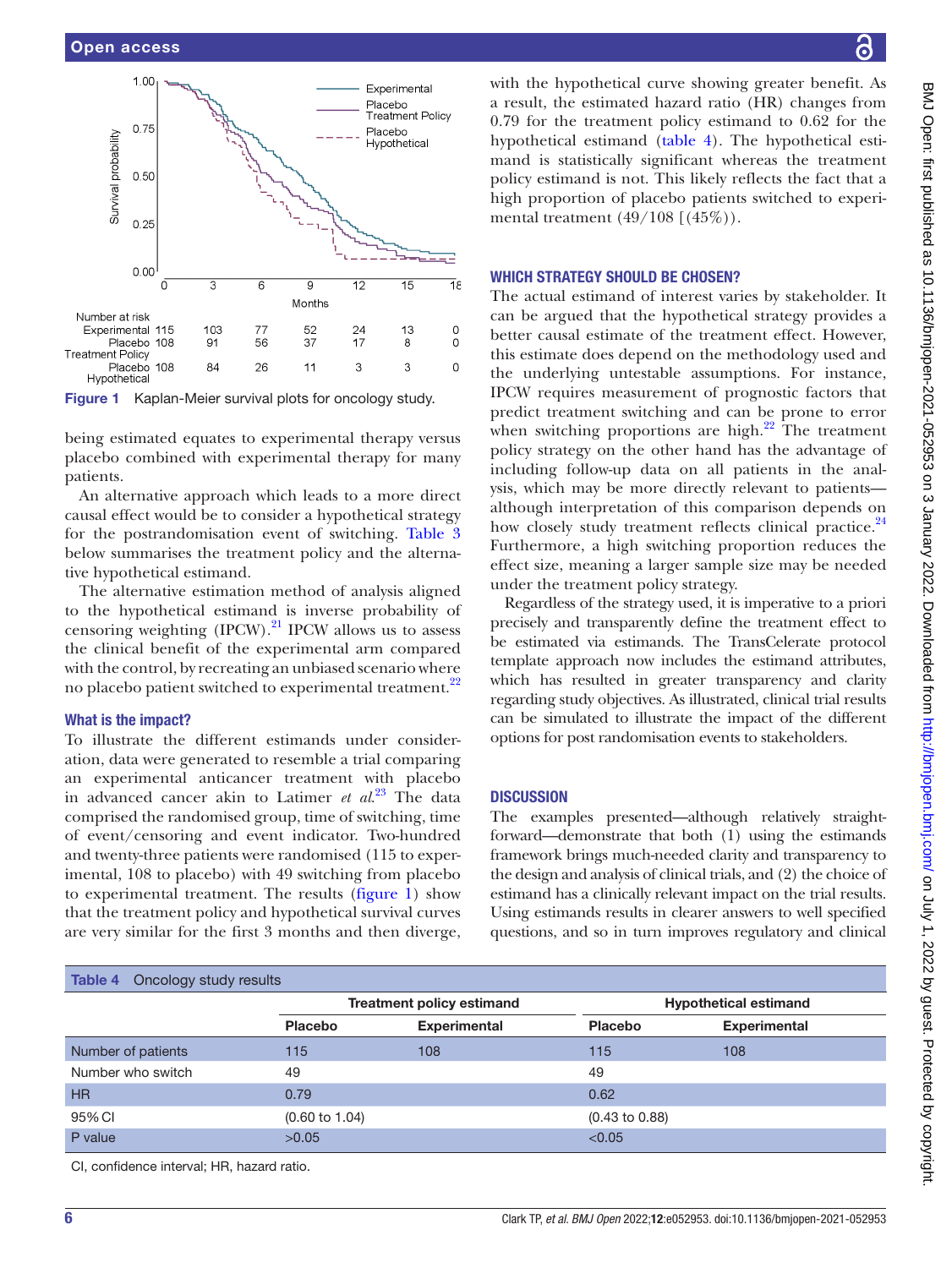

<span id="page-5-0"></span>

being estimated equates to experimental therapy versus placebo combined with experimental therapy for many patients.

An alternative approach which leads to a more direct causal effect would be to consider a hypothetical strategy for the postrandomisation event of switching. [Table](#page-4-0) 3 below summarises the treatment policy and the alternative hypothetical estimand.

The alternative estimation method of analysis aligned to the hypothetical estimand is inverse probability of censoring weighting  $(IPCW)$ .<sup>21</sup> IPCW allows us to assess the clinical benefit of the experimental arm compared with the control, by recreating an unbiased scenario where no placebo patient switched to experimental treatment.<sup>22</sup>

### What is the impact?

To illustrate the different estimands under consideration, data were generated to resemble a trial comparing an experimental anticancer treatment with placebo in advanced cancer akin to Latimer *et al*. [23](#page-6-11) The data comprised the randomised group, time of switching, time of event/censoring and event indicator. Two-hundred and twenty-three patients were randomised (115 to experimental, 108 to placebo) with 49 switching from placebo to experimental treatment. The results [\(figure](#page-5-0) 1) show that the treatment policy and hypothetical survival curves are very similar for the first 3 months and then diverge,

# <span id="page-5-1"></span> $Table 4$  Oncology study results

with the hypothetical curve showing greater benefit. As a result, the estimated hazard ratio (HR) changes from 0.79 for the treatment policy estimand to 0.62 for the hypothetical estimand [\(table](#page-5-1) 4). The hypothetical estimand is statistically significant whereas the treatment policy estimand is not. This likely reflects the fact that a high proportion of placebo patients switched to experimental treatment (49/108 [(45%)).

### WHICH STRATEGY SHOULD BE CHOSEN?

The actual estimand of interest varies by stakeholder. It can be argued that the hypothetical strategy provides a better causal estimate of the treatment effect. However, this estimate does depend on the methodology used and the underlying untestable assumptions. For instance, IPCW requires measurement of prognostic factors that predict treatment switching and can be prone to error when switching proportions are high. $^{22}$  The treatment policy strategy on the other hand has the advantage of including follow-up data on all patients in the analysis, which may be more directly relevant to patients although interpretation of this comparison depends on how closely study treatment reflects clinical practice.<sup>[24](#page-6-12)</sup> Furthermore, a high switching proportion reduces the effect size, meaning a larger sample size may be needed under the treatment policy strategy.

Regardless of the strategy used, it is imperative to a priori precisely and transparently define the treatment effect to be estimated via estimands. The TransCelerate protocol template approach now includes the estimand attributes, which has resulted in greater transparency and clarity regarding study objectives. As illustrated, clinical trial results can be simulated to illustrate the impact of the different options for post randomisation events to stakeholders.

### **DISCUSSION**

The examples presented—although relatively straightforward—demonstrate that both (1) using the estimands framework brings much-needed clarity and transparency to the design and analysis of clinical trials, and (2) the choice of estimand has a clinically relevant impact on the trial results. Using estimands results in clearer answers to well specified questions, and so in turn improves regulatory and clinical

| <b>IdDIC 4</b> UILORY SLUUY IBSUILS        |                                  |                     |                              |                     |  |  |
|--------------------------------------------|----------------------------------|---------------------|------------------------------|---------------------|--|--|
|                                            | <b>Treatment policy estimand</b> |                     | <b>Hypothetical estimand</b> |                     |  |  |
|                                            | <b>Placebo</b>                   | <b>Experimental</b> | <b>Placebo</b>               | <b>Experimental</b> |  |  |
| Number of patients                         | 115                              | 108                 | 115                          | 108                 |  |  |
| Number who switch                          | 49                               |                     | 49                           |                     |  |  |
| <b>HR</b>                                  | 0.79                             |                     | 0.62                         |                     |  |  |
| 95% CI                                     | $(0.60 \text{ to } 1.04)$        |                     | $(0.43 \text{ to } 0.88)$    |                     |  |  |
| P value                                    | >0.05                            |                     | < 0.05                       |                     |  |  |
| CI, confidence interval; HR, hazard ratio. |                                  |                     |                              |                     |  |  |